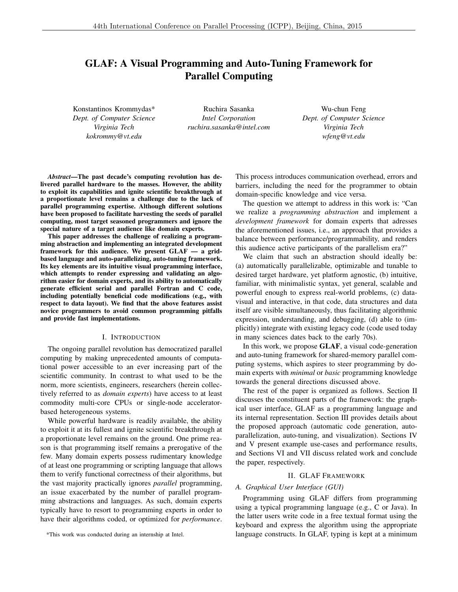# GLAF: A Visual Programming and Auto-Tuning Framework for Parallel Computing

Konstantinos Krommydas\* *Dept. of Computer Science Virginia Tech kokrommy@vt.edu*

Ruchira Sasanka *Intel Corporation ruchira.sasanka@intel.com*

Wu-chun Feng *Dept. of Computer Science Virginia Tech wfeng@vt.edu*

*Abstract*—The past decade's computing revolution has delivered parallel hardware to the masses. However, the ability to exploit its capabilities and ignite scientific breakthrough at a proportionate level remains a challenge due to the lack of parallel programming expertise. Although different solutions have been proposed to facilitate harvesting the seeds of parallel computing, most target seasoned programmers and ignore the special nature of a target audience like domain experts.

This paper addresses the challenge of realizing a programming abstraction and implementing an integrated development framework for this audience. We present GLAF — a gridbased language and auto-parallelizing, auto-tuning framework. Its key elements are its intuitive visual programming interface, which attempts to render expressing and validating an algorithm easier for domain experts, and its ability to automatically generate efficient serial and parallel Fortran and C code, including potentially beneficial code modifications (e.g., with respect to data layout). We find that the above features assist novice programmers to avoid common programming pitfalls and provide fast implementations.

# I. INTRODUCTION

The ongoing parallel revolution has democratized parallel computing by making unprecedented amounts of computational power accessible to an ever increasing part of the scientific community. In contrast to what used to be the norm, more scientists, engineers, researchers (herein collectively referred to as *domain experts*) have access to at least commodity multi-core CPUs or single-node acceleratorbased heterogeneous systems.

While powerful hardware is readily available, the ability to exploit it at its fullest and ignite scientific breakthrough at a proportionate level remains on the ground. One prime reason is that programming itself remains a prerogative of the few. Many domain experts possess rudimentary knowledge of at least one programming or scripting language that allows them to verify functional correctness of their algorithms, but the vast majority practically ignores *parallel* programming, an issue exacerbated by the number of parallel programming abstractions and languages. As such, domain experts typically have to resort to programming experts in order to have their algorithms coded, or optimized for *performance*.

\*This work was conducted during an internship at Intel.

This process introduces communication overhead, errors and barriers, including the need for the programmer to obtain domain-specific knowledge and vice versa.

The question we attempt to address in this work is: "Can we realize a *programming abstraction* and implement a *development framework* for domain experts that adresses the aforementioned issues, i.e., an approach that provides a balance between performance/programmability, and renders this audience active participants of the parallelism era?"

We claim that such an abstraction should ideally be: (a) automatically parallelizable, optimizable and tunable to desired target hardware, yet platform agnostic, (b) intuitive, familiar, with minimalistic syntax, yet general, scalable and powerful enough to express real-world problems, (c) datavisual and interactive, in that code, data structures and data itself are visible simultaneously, thus facilitating algorithmic expression, understanding, and debugging, (d) able to (implicitly) integrate with existing legacy code (code used today in many sciences dates back to the early 70s).

In this work, we propose GLAF, a visual code-generation and auto-tuning framework for shared-memory parallel computing systems, which aspires to steer programming by domain experts with *minimal* or *basic* programming knowledge towards the general directions discussed above.

The rest of the paper is organized as follows. Section II discusses the constituent parts of the framework: the graphical user interface, GLAF as a programming language and its internal representation. Section III provides details about the proposed approach (automatic code generation, autoparallelization, auto-tuning, and visualization). Sections IV and V present example use-cases and performance results, and Sections VI and VII discuss related work and conclude the paper, respectively.

#### II. GLAF FRAMEWORK

#### *A. Graphical User Interface (GUI)*

Programming using GLAF differs from programming using a typical programming language (e.g., C or Java). In the latter users write code in a free textual format using the keyboard and express the algorithm using the appropriate language constructs. In GLAF, typing is kept at a minimum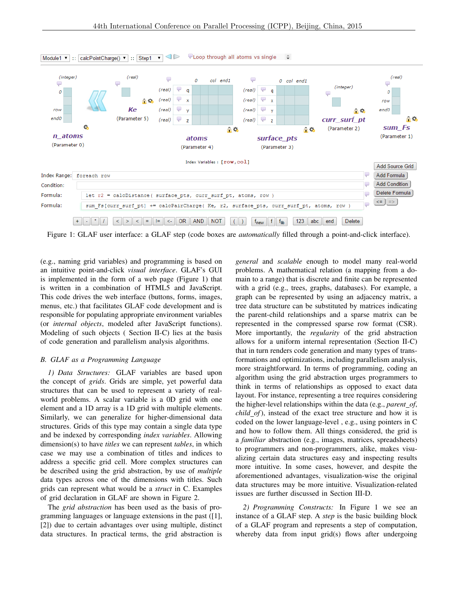

Figure 1: GLAF user interface: a GLAF step (code boxes are *automatically* filled through a point-and-click interface).

(e.g., naming grid variables) and programming is based on an intuitive point-and-click *visual interface*. GLAF's GUI is implemented in the form of a web page (Figure 1) that is written in a combination of HTML5 and JavaScript. This code drives the web interface (buttons, forms, images, menus, etc.) that facilitates GLAF code development and is responsible for populating appropriate environment variables (or *internal objects*, modeled after JavaScript functions). Modeling of such objects ( Section II-C) lies at the basis of code generation and parallelism analysis algorithms.

# *B. GLAF as a Programming Language*

*1) Data Structures:* GLAF variables are based upon the concept of *grids*. Grids are simple, yet powerful data structures that can be used to represent a variety of realworld problems. A scalar variable is a 0D grid with one element and a 1D array is a 1D grid with multiple elements. Similarly, we can generalize for higher-dimensional data structures. Grids of this type may contain a single data type and be indexed by corresponding *index variables*. Allowing dimension(s) to have *titles* we can represent *tables*, in which case we may use a combination of titles and indices to address a specific grid cell. More complex structures can be described using the grid abstraction, by use of *multiple* data types across one of the dimensions with titles. Such grids can represent what would be a *struct* in C. Examples of grid declaration in GLAF are shown in Figure 2.

The *grid abstraction* has been used as the basis of programming languages or language extensions in the past ([1], [2]) due to certain advantages over using multiple, distinct data structures. In practical terms, the grid abstraction is *general* and *scalable* enough to model many real-world problems. A mathematical relation (a mapping from a domain to a range) that is discrete and finite can be represented with a grid (e.g., trees, graphs, databases). For example, a graph can be represented by using an adjacency matrix, a tree data structure can be substituted by matrices indicating the parent-child relationships and a sparse matrix can be represented in the compressed sparse row format (CSR). More importantly, the *regularity* of the grid abstraction allows for a uniform internal representation (Section II-C) that in turn renders code generation and many types of transformations and optimizations, including parallelism analysis, more straightforward. In terms of programming, coding an algorithm using the grid abstraction urges programmers to think in terms of relationships as opposed to exact data layout. For instance, representing a tree requires considering the higher-level relationships within the data (e.g., *parent of*, *child of*), instead of the exact tree structure and how it is coded on the lower language-level , e.g., using pointers in C and how to follow them. All things considered, the grid is a *familiar* abstraction (e.g., images, matrices, spreadsheets) to programmers and non-programmers, alike, makes visualizing certain data structures easy and inspecting results more intuitive. In some cases, however, and despite the aforementioned advantages, visualization-wise the original data structures may be more intuitive. Visualization-related issues are further discussed in Section III-D.

*2) Programming Constructs:* In Figure 1 we see an instance of a GLAF step. A *step* is the basic building block of a GLAF program and represents a step of computation, whereby data from input grid(s) flows after undergoing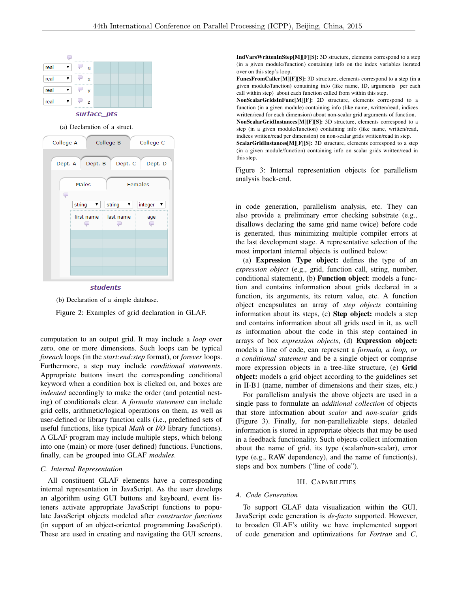

#### **students**

(b) Declaration of a simple database.

Figure 2: Examples of grid declaration in GLAF.

computation to an output grid. It may include a *loop* over zero, one or more dimensions. Such loops can be typical *foreach* loops (in the *start:end:step* format), or *forever* loops. Furthermore, a step may include *conditional statements*. Appropriate buttons insert the corresponding conditional keyword when a condition box is clicked on, and boxes are *indented* accordingly to make the order (and potential nesting) of conditionals clear. A *formula statement* can include grid cells, arithmetic/logical operations on them, as well as user-defined or library function calls (i.e., predefined sets of useful functions, like typical *Math* or *I/O* library functions). A GLAF program may include multiple steps, which belong into one (main) or more (user defined) functions. Functions, finally, can be grouped into GLAF *modules*.

# *C. Internal Representation*

All constituent GLAF elements have a corresponding internal representation in JavaScript. As the user develops an algorithm using GUI buttons and keyboard, event listeners activate appropriate JavaScript functions to populate JavaScript objects modeled after *constructor functions* (in support of an object-oriented programming JavaScript). These are used in creating and navigating the GUI screens, **IndVarsWrittenInStep[M][F][S]:** 3D structure, elements correspond to a step (in a given module/function) containing info on the index variables iterated over on this step's loop.

**FuncsFromCaller[M][F][S]:** 3D structure, elements correspond to a step (in a given module/function) containing info (like name, ID, arguments per each call within step) about each function called from within this step.

**NonScalarGridsInFunc[M][F]:** 2D structure, elements correspond to a function (in a given module) containing info (like name, written/read, indices written/read for each dimension) about non-scalar grid arguments of function. **NonScalarGridInstances[M][F][S]:** 3D structure, elements correspond to a step (in a given module/function) containing info (like name, written/read, indices written/read per dimension) on non-scalar grids written/read in step.

**ScalarGridInstances[M][F][S]:** 3D structure, elements correspond to a step (in a given module/function) containing info on scalar grids written/read in this step.

Figure 3: Internal representation objects for parallelism analysis back-end.

in code generation, parallelism analysis, etc. They can also provide a preliminary error checking substrate (e.g., disallows declaring the same grid name twice) before code is generated, thus minimizing multiple compiler errors at the last development stage. A representative selection of the most important internal objects is outlined below:

(a) Expression Type object: defines the type of an *expression object* (e.g., grid, function call, string, number, conditional statement), (b) Function object: models a function and contains information about grids declared in a function, its arguments, its return value, etc. A function object encapsulates an array of *step objects* containing information about its steps, (c) Step object: models a step and contains information about all grids used in it, as well as information about the code in this step contained in arrays of box *expression objects*, (d) Expression object: models a line of code, can represent a *formula, a loop, or a conditional statement* and be a single object or comprise more expression objects in a tree-like structure, (e) Grid object: models a grid object according to the guidelines set in II-B1 (name, number of dimensions and their sizes, etc.)

For parallelism analysis the above objects are used in a single pass to formulate an *additional collection* of objects that store information about *scalar* and *non-scalar* grids (Figure 3). Finally, for non-parallelizable steps, detailed information is stored in appropriate objects that may be used in a feedback functionality. Such objects collect information about the name of grid, its type (scalar/non-scalar), error type (e.g., RAW dependency), and the name of function(s), steps and box numbers ("line of code").

# III. CAPABILITIES

#### *A. Code Generation*

To support GLAF data visualization within the GUI, JavaScript code generation is *de-facto* supported. However, to broaden GLAF's utility we have implemented support of code generation and optimizations for *Fortran* and *C*,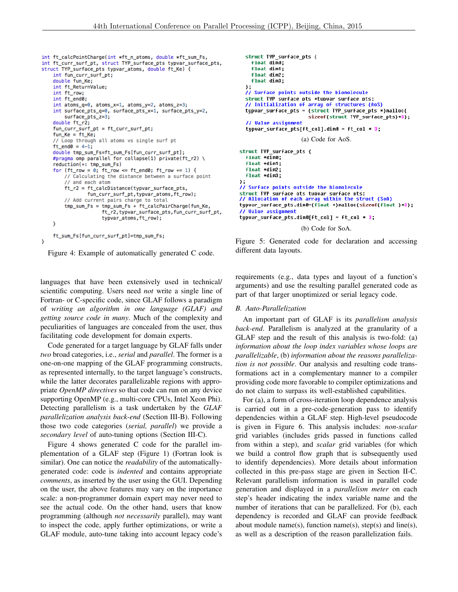```
int ft_calcPointCharge(int *ft_n_atoms, double *ft_sum_Fs,
int ft_curr_surf_pt, struct TYP_surface_pts typvar_surface_pts,
struct TYP_surface_pts typvar_atoms, double ft_Ke) {
    int fun_curr_surf_pt;
    double fun Ke;
    int ft_ReturnValue;
    int ft_row;
    int ft_end0;
    int atoms_q=0, atoms_x=1, atoms_y=2, atoms_z=3;
    int surface_pts_q=0, surface_pts_x=1, surface_pts_y=2,
        surface_pts_z=3;
    double ft r2:
    fun_curr_surf_pt = ft_curr_surf_pt;
    funKe = ftKe;
    // Loop through all atoms vs single surf pt
    ft\_end0 = 4-1;double tmp_sum_Fs=ft_sum_Fs[fun_curr_surf_pt];
    #pragma omp parallel for collapse(1) private(ft_r2) \
    reduction(+: tmp_sum_Fs)
    for (ft_row = 0; ft_row <= ft_end0; ft_row += 1) {
        // Calculating the distance between a surface point
        // and each atom
        ft_r2 = ft_calcDistance(typvar_surface_pts,
                fun_curr_surf_pt,typvar_atoms,ft_row);
        // Add current pairs charge to total
        tmp_sum_Fs = tmp_sum_Fs + ft_calcPairCharge(fun_Ke,
                     ft_r2,typvar_surface_pts,fun_curr_surf_pt,
                     typvar_atoms,ft_row);
    \mathbf{r}ft_sum_Fs[fun_curr_surf_pt]=tmp_sum_Fs;
Þ
```
Figure 4: Example of automatically generated C code.

languages that have been extensively used in technical/ scientific computing. Users need *not* write a single line of Fortran- or C-specific code, since GLAF follows a paradigm of *writing an algorithm in one language (GLAF) and getting source code in many*. Much of the complexity and peculiarities of languages are concealed from the user, thus facilitating code development for domain experts.

Code generated for a target language by GLAF falls under *two* broad categories, i.e., *serial* and *parallel*. The former is a one-on-one mapping of the GLAF programming constructs, as represented internally, to the target language's constructs, while the latter decorates parallelizable regions with appropriate *OpenMP directives* so that code can run on any device supporting OpenMP (e.g., multi-core CPUs, Intel Xeon Phi). Detecting parallelism is a task undertaken by the *GLAF parallelization analysis back-end* (Section III-B). Following those two code categories (*serial, parallel*) we provide a *secondary level* of auto-tuning options (Section III-C).

Figure 4 shows generated C code for the parallel implementation of a GLAF step (Figure 1) (Fortran look is similar). One can notice the *readability* of the automaticallygenerated code: code is *indented* and contains appropriate *comments*, as inserted by the user using the GUI. Depending on the user, the above features may vary on the importance scale: a non-programmer domain expert may never need to see the actual code. On the other hand, users that know programming (although *not necessarily* parallel), may want to inspect the code, apply further optimizations, or write a GLAF module, auto-tune taking into account legacy code's

```
struct TYP_surface_pts {
    float din0:
    float dimi:
    float dim2:
    float dim3;
  // Surface points outside the biomolecule
  struct TYP surface pts *tupvar surface pts;
  // Initialization of array of structures (AoS)
  typvar_surface_pts = (struct TYP_surface_pts *)malloc(
                       sizeof(struct TYP_surface_pts)*3);
  // Value assignment
  typvar_surface_pts[ft_col].dim0 = ft_col * 3;
                     (a) Code for AoS.
struct TYP_surface_pts {
 float *dim0:
  float *dim1;
  float *dim2;
 float *dim3:
١;
// Surface points outside the biomolecule
struct TYP surface ots tuovar surface ots:
// Allocation of each array within the struct (SoA)
typvar_surface_pts.dim0=(float *)malloc(sizeof(float )*3);
// Value assignment
typvar_surface_pts.dim0[ft_col] = ft_col * 3;
```
(b) Code for SoA.

Figure 5: Generated code for declaration and accessing different data layouts.

requirements (e.g., data types and layout of a function's arguments) and use the resulting parallel generated code as part of that larger unoptimized or serial legacy code.

## *B. Auto-Parallelization*

An important part of GLAF is its *parallelism analysis back-end*. Parallelism is analyzed at the granularity of a GLAF step and the result of this analysis is two-fold: (a) *information about the loop index variables whose loops are parallelizable*, (b) *information about the reasons parallelization is not possible*. Our analysis and resulting code transformations act in a complementary manner to a compiler providing code more favorable to compiler optimizations and do not claim to surpass its well-established capabilities.

For (a), a form of cross-iteration loop dependence analysis is carried out in a pre-code-generation pass to identify dependencies within a GLAF step. High-level pseudocode is given in Figure 6. This analysis includes: *non-scalar* grid variables (includes grids passed in functions called from within a step), and *scalar* grid variables (for which we build a control flow graph that is subsequently used to identify dependencies). More details about information collected in this pre-pass stage are given in Section II-C. Relevant parallelism information is used in parallel code generation and displayed in a *parallelism meter* on each step's header indicating the index variable name and the number of iterations that can be parallelized. For (b), each dependency is recorded and GLAF can provide feedback about module name(s), function name(s), step(s) and line(s), as well as a description of the reason parallelization fails.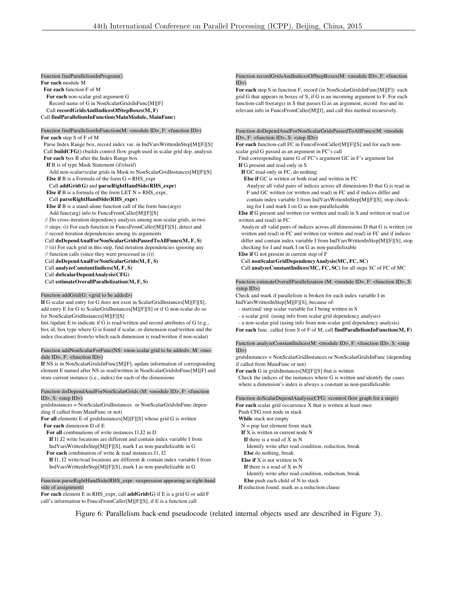#### Function findParallelismInProgram() **For each** module M **For each** function F of M **For each** non-scalar grid argument G Record name of G in NonScalarGridsInFunc[M][F]

Call **recordGridsAndIndicesOfStepBoxes(M, F)**

Call **findParallelismInFunction(MainModule, MainFunc)**

## Function findParallelismInFunction(M: <module ID>, F: <function ID>) **For each** step S of F of M

 Parse Index Range box, record index var. in IndVarsWrittenInStep[M][F][S] Call **buildCFG()** (builds control flow graph used in scalar grid dep. analysis **For each** box B after the Index Range box

**If** B is of type Mask Statement (if/elseif)

 Add non-scalar/scalar grids in Mask to NonScalarGridInstances[M][F][S] **Else if** B is a Formula of the form  $G = RHS\_expr$ 

## Call **addGrid(G)** and **parseRightHandSide(RHS\_expr)**

**Else if**  $B$  is a formula of the form LET  $N = RHS_{\text{c}}/x$ ,

#### Call **parseRightHandSide(RHS\_expr)**

 **Else if** B is a stand-alone function call of the form func(args) Add func(arg) info to FuncsFromCaller[M][F][S]

// Do cross-iteration dependency analysis among non-scalar grids, in two

 // steps: (i) For each function in FuncsFromCaller[M][F][S], detect and // record iteration dependencies among its arguments

# Call **doDependAnalForNonScalarGridsPassedToAllFuncs(M, F, S)**

// (ii) For each grid in this step, find iteration dependencies ignoring any

// function calls (since they were processed in (i))

Call **doDependAnalForNonScalarGrids(M, F, S)**

 Call **analyzeConstantIndices(M, F, S)** Call **doScalarDependAnalysis(CFG)**

Call **estimateOverallParallelization(M, F, S)**

#### Function addGrid(G: <grid to be added>)

**If** G scalar and entry for G does not exist in ScalarGridInstances[M][F][S], add entry E for G to ScalarGridInstances[M][F][S] or if G non-scalar do so for NonScalarGridInstances[M][F][S]

Init./update E to indicate if G is read/written and record attributes of G (e.g., box id, box type where G is found if scalar, or dimension read/written and the index (location) from/to which each dimension is read/written if non-scalar)

#### Function addNonScalarForFunc(NS: <non-scalar grid to be added>, M: <module ID>, F: <function ID>)

**If** NS is in NonScalarGridsInFunc[M][F], update information of corresponding element E named after NS as read/written in NonScalarGridsInFunc[M][F] and store current instance (i.e., index) for each of the dimensions

#### Function doDependAnalForNonScalarGrids (M: <module ID>, F: <function ID>, S: <step ID>)

gridsInstances = NonScalarGridInstances or NonScalarGridsInFunc depending if called from MainFunc or not)

**For all** elements E of gridsInstances[M][F][S] whose grid G is written **For each** dimension D of E

**For all** combinations of write instances I1,I2 in D

 **If** I1,I2 write locations are different and contain index variable I from IndVarsWrittenInStep[M][F][S], mark I as non-parallelizable in G

**For each** combination of write & read instances I1, I2

 **If** I1, I2 write/read locations are different & contain index variable I from IndVarsWrittenInStep[M][F][S], mark I as non-parallelizable in G

#### Function parseRightHandSide(RHS\_expr: <expression appearing as right-hand side of assignment)

**For each** element E in RHS\_expr, call **addGrid(G)** if E is a grid G or add F call's information to FuncsFromCaller[M][F][S], if E is a function call

#### Function recordGridsAndIndicesOfStepBoxes(M: <module ID>, F: <function  $ID>$

**For each** step S in function F, record (in NonScalarGridsInFunc[M][F]) each grid G that appears in boxes of S, if G is an incoming argument to F. For each function-call foo(args) in S that passes G as an argument, record foo and its relevant info in FuncsFromCaller[M][f], and call this method recursively.

#### Function doDependAnalForNonScalarGridsPassedToAllFuncs(M: <module ID $>$ , F: <function ID $>$ , S: <step ID $>$ )

**For each** function-call FC in FuncsFromCaller[M][F][S] and for each nonscalar grid G passed as an argument in FC's call

 Find corresponding name G of FC's argument GC in F's argument list **If** G present and read-only in S

**If** GC read-only in FC, do nothing

**Else if** GC is written or both read and written in FC

 Analyze all valid pairs of indices across all dimensions D that G is read in F and GC written (or written and read) in FC and if indices differ and contain index variable I from IndVarsWritenInStep[M][F][S], stop check ing for I and mark I on G as non-parallelizable

 **Else if** G present and written (or written and read) in S and written or read (or written and read) in FC

 Analyze all valid pairs of indices across all dimensions D that G is written (or written and read) in FC and written (or written and read) in FC and if indices differ and contain index variable I from IndVarsWrittenInStep[M][F][S], stop checking for I and mark I on G as non-parallelizable

**Else if** G not present in current step of F

 Call **nonScalarGridDependencyAnalysis(MC, FC, SC)** Call **analyzeConstantIndices(MC, FC, SC)** for all steps SC of FC of MC

Function estimateOverallParallelization (M: <module ID>, F: <function ID>, S:  $\langle$ step ID $\rangle$ 

Check and mark if parallelism is broken for each index variable I in IndVarsWrittenInStep[M][F][S], because of:

- start/end/ step scalar variable for I being written in S
- a scalar grid (using info from scalar grid dependency analysis)
- a non-scalar grid (using info from non-scalar grid dependency analysis)
- **For each** func. called from S of F of M, call **findParallelismInFunction(M, F)**

Function analyzeConstantIndices(M: <module ID>, F: <function ID>, S: <step  $ID>$ 

gridsInstances = NonScalarGridInstances or NonScalarGridsInFunc (depending if called from MainFunc or not)

**For each** G in gridsInstances[M][F][S] that is written

 Check the indices of the instances where G is written and identify the cases where a dimension's index is always a constant as non-parallelizable

Function doScalarDependAnalysis(CFG: <control flow graph for a step>) For each scalar grid occurrence X that is written at least once Push CFG root node in stack **While** stack not empty

- $N = pop$  last element from stack
- **If** X is written in current node N **If** there is a read of X in N

Identify write after read condition, reduction, break

**Else** do nothing, break

**Else if** X is not written in N

**If** there is a read of X in N

Identify write after read condition, reduction, break

**Else** push each child of N to stack

**If** reduction found, mark as a reduction clause

Figure 6: Parallelism back-end pseudocode (related internal objects used are described in Figure 3).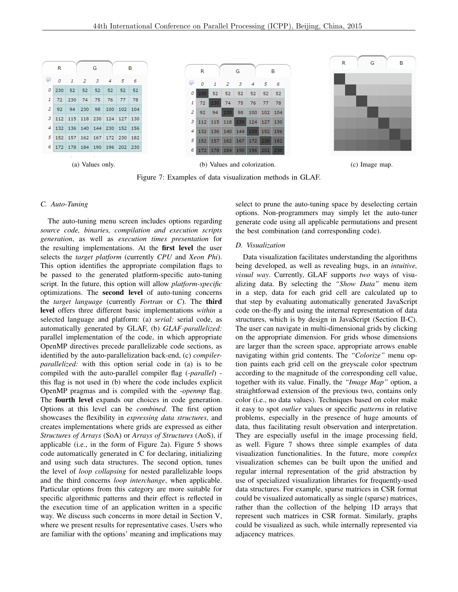

Figure 7: Examples of data visualization methods in GLAF.

#### *C. Auto-Tuning*

The auto-tuning menu screen includes options regarding *source code, binaries, compilation and execution scripts generation*, as well as *execution times presentation* for the resulting implementations. At the first level the user selects the *target platform* (currently *CPU* and *Xeon Phi*). This option identifies the appropriate compilation flags to be passed to the generated platform-specific auto-tuning script. In the future, this option will allow *platform-specific* optimizations. The second level of auto-tuning concerns the *target language* (currently *Fortran* or *C*). The third level offers three different basic implementations *within* a selected language and platform: (a) *serial:* serial code, as automatically generated by GLAF, (b) *GLAF-parallelized:* parallel implementation of the code, in which appropriate OpenMP directives precede parallelizable code sections, as identified by the auto-parallelization back-end, (c) *compilerparallelized:* with this option serial code in (a) is to be compiled with the auto-parallel compiler flag (*-parallel*) this flag is not used in (b) where the code includes explicit OpenMP pragmas and is compiled with the *-openmp* flag. The fourth level expands our choices in code generation. Options at this level can be *combined*. The first option showcases the flexibility in *expressing data structures*, and creates implementations where grids are expressed as either *Structures of Arrays* (SoA) or *Arrays of Structures* (AoS), if applicable (i.e., in the form of Figure 2a). Figure 5 shows code automatically generated in C for declaring, initializing and using such data structures. The second option, tunes the level of *loop collapsing* for nested parallelizable loops and the third concerns *loop interchange*, when applicable. Particular options from this category are more suitable for specific algorithmic patterns and their effect is reflected in the execution time of an application written in a specific way. We discuss such concerns in more detail in Section V, where we present results for representative cases. Users who are familiar with the options' meaning and implications may select to prune the auto-tuning space by deselecting certain options. Non-programmers may simply let the auto-tuner generate code using all applicable permutations and present the best combination (and corresponding code).

#### *D. Visualization*

Data visualization facilitates understanding the algorithms being developed, as well as revealing bugs, in an *intuitive, visual way*. Currently, GLAF supports *two* ways of visualizing data. By selecting the *"Show Data"* menu item in a step, data for each grid cell are calculated up to that step by evaluating automatically generated JavaScript code on-the-fly and using the internal representation of data structures, which is by design in JavaScript (Section II-C). The user can navigate in multi-dimensional grids by clicking on the appropriate dimension. For grids whose dimensions are larger than the screen space, appropriate arrows enable navigating within grid contents. The *"Colorize"* menu option paints each grid cell on the greyscale color spectrum according to the magnitude of the corresponding cell value, together with its value. Finally, the *"Image Map"* option, a straightforwad extension of the previous two, contains only color (i.e., no data values). Techniques based on color make it easy to spot *outlier* values or specific *patterns* in relative problems, especially in the presence of huge amounts of data, thus facilitating result observation and interpretation. They are especially useful in the image processing field, as well. Figure 7 shows three simple examples of data visualization functionalities. In the future, more *complex* visualization schemes can be built upon the unified and regular internal representation of the grid abstraction by use of specialized visualization libraries for frequently-used data structures. For example, sparse matrices in CSR format could be visualized automatically as single (sparse) matrices, rather than the collection of the helping 1D arrays that represent such matrices in CSR format. Similarly, graphs could be visualized as such, while internally represented via adjacency matrices.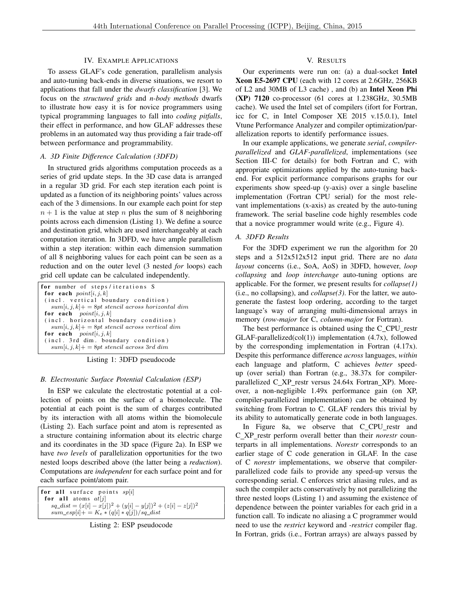# IV. EXAMPLE APPLICATIONS

To assess GLAF's code generation, parallelism analysis and auto-tuning back-ends in diverse situations, we resort to applications that fall under the *dwarfs classification* [3]. We focus on the *structured grids* and *n-body methods* dwarfs to illustrate how easy it is for novice programmers using typical programming languages to fall into *coding pitfalls*, their effect in performance, and how GLAF addresses these problems in an automated way thus providing a fair trade-off between performance and programmability.

# *A. 3D Finite Difference Calculation (3DFD)*

In structured grids algorithms computation proceeds as a series of grid update steps. In the 3D case data is arranged in a regular 3D grid. For each step iteration each point is updated as a function of its neighboring points' values across each of the 3 dimensions. In our example each point for step  $n + 1$  is the value at step *n* plus the sum of 8 neighboring points across each dimension (Listing 1). We define a source and destination grid, which are used interchangeably at each computation iteration. In 3DFD, we have ample parallelism within a step iteration: within each dimension summation of all 8 neighboring values for each point can be seen as a reduction and on the outer level (3 nested *for* loops) each grid cell update can be calculated independently.

Listing 1: 3DFD pseudocode

#### *B. Electrostatic Surface Potential Calculation (ESP)*

In ESP we calculate the electrostatic potential at a collection of points on the surface of a biomolecule. The potential at each point is the sum of charges contributed by its interaction with all atoms within the biomolecule (Listing 2). Each surface point and atom is represented as a structure containing information about its electric charge and its coordinates in the 3D space (Figure 2a). In ESP we have *two levels* of parallelization opportunities for the two nested loops described above (the latter being a *reduction*). Computations are *independent* for each surface point and for each surface point/atom pair.

for all surface points *sp*[*i*] for all atoms *at*[*j*]  $sq\_dist = (x[i] - \tilde{x[j]})^2 + (y[i] - y[j])^2 + (z[i] - z[j])^2$  $sum\_esp[i]+ = K_e * (q[i]*q[j])/sq\_dist$ 

Listing 2: ESP pseudocode

# V. RESULTS

Our experiments were run on: (a) a dual-socket Intel Xeon E5-2697 CPU (each with 12 cores at 2.6GHz, 256KB of L2 and 30MB of L3 cache) , and (b) an Intel Xeon Phi (XP) 7120 co-processor (61 cores at 1.238GHz, 30.5MB cache). We used the Intel set of compilers (ifort for Fortran, icc for C, in Intel Composer XE 2015 v.15.0.1), Intel Vtune Performance Analyzer and compiler optimization/parallelization reports to identify performance issues.

In our example applications, we generate *serial*, *compilerparallelized* and *GLAF-parallelized*, implementations (see Section III-C for details) for both Fortran and C, with appropriate optimizations applied by the auto-tuning backend. For explicit performance comparisons graphs for our experiments show speed-up (y-axis) over a single baseline implementation (Fortran CPU serial) for the most relevant implementations (x-axis) as created by the auto-tuning framework. The serial baseline code highly resembles code that a novice programmer would write (e.g., Figure 4).

#### *A. 3DFD Results*

For the 3DFD experiment we run the algorithm for 20 steps and a 512x512x512 input grid. There are no *data layout* concerns (i.e., SoA, AoS) in 3DFD, however, *loop collapsing* and *loop interchange* auto-tuning options are applicable. For the former, we present results for *collapse(1)* (i.e., no collapsing), and *collapse(3)*. For the latter, we autogenerate the fastest loop ordering, according to the target language's way of arranging multi-dimensional arrays in memory (*row-major* for C, *column-major* for Fortran).

The best performance is obtained using the C\_CPU\_restr GLAF-parallelized(col(1)) implementation (4.7x), followed by the corresponding implementation in Fortran (4.17x). Despite this performance difference *across* languages, *within* each language and platform, C achieves *better* speedup (over serial) than Fortran (e.g., 38.37x for compilerparallelized C\_XP\_restr versus 24.64x Fortran\_XP). Moreover, a non-negligible 1.49x performance gain (on XP, compiler-parallelized implementation) can be obtained by switching from Fortran to C. GLAF renders this trivial by its ability to automatically generate code in both languages.

In Figure 8a, we observe that C\_CPU\_restr and C XP restr perform overall better than their *norestr* counterparts in all implementations. *Norestr* corresponds to an earlier stage of C code generation in GLAF. In the case of C *norestr* implementations, we observe that compilerparallelized code fails to provide any speed-up versus the corresponding serial. C enforces strict aliasing rules, and as such the compiler acts conservatively by not parallelizing the three nested loops (Listing 1) and assuming the existence of dependence between the pointer variables for each grid in a function call. To indicate no aliasing a C programmer would need to use the *restrict* keyword and *-restrict* compiler flag. In Fortran, grids (i.e., Fortran arrays) are always passed by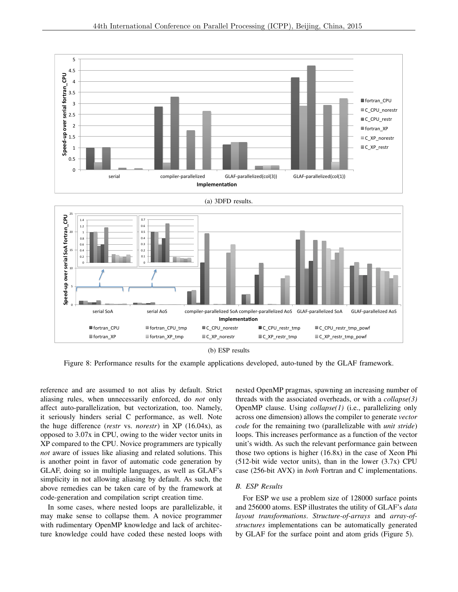

fortran\_XP" fortran\_XP\_tmp" C\_XP\_norestr" C\_XP\_restr\_tmp" C\_XP\_restr\_tmp\_powf" (b) ESP results

Figure 8: Performance results for the example applications developed, auto-tuned by the GLAF framework.

reference and are assumed to not alias by default. Strict aliasing rules, when unnecessarily enforced, do *not* only affect auto-parallelization, but vectorization, too. Namely, it seriously hinders serial C performance, as well. Note the huge difference (*restr* vs. *norestr*) in XP (16.04x), as opposed to 3.07x in CPU, owing to the wider vector units in XP compared to the CPU. Novice programmers are typically *not* aware of issues like aliasing and related solutions. This is another point in favor of automatic code generation by GLAF, doing so in multiple languages, as well as GLAF's simplicity in not allowing aliasing by default. As such, the above remedies can be taken care of by the framework at code-generation and compilation script creation time.

In some cases, where nested loops are parallelizable, it may make sense to collapse them. A novice programmer with rudimentary OpenMP knowledge and lack of architecture knowledge could have coded these nested loops with nested OpenMP pragmas, spawning an increasing number of threads with the associated overheads, or with a *collapse(3)* OpenMP clause. Using *collapse(1)* (i.e., parallelizing only across one dimension) allows the compiler to generate *vector code* for the remaining two (parallelizable with *unit stride*) loops. This increases performance as a function of the vector unit's width. As such the relevant performance gain between those two options is higher (16.8x) in the case of Xeon Phi (512-bit wide vector units), than in the lower (3.7x) CPU case (256-bit AVX) in *both* Fortran and C implementations.

# *B. ESP Results*

For ESP we use a problem size of 128000 surface points and 256000 atoms. ESP illustrates the utility of GLAF's *data layout transformations*. *Structure-of-arrays* and *array-ofstructures* implementations can be automatically generated by GLAF for the surface point and atom grids (Figure 5).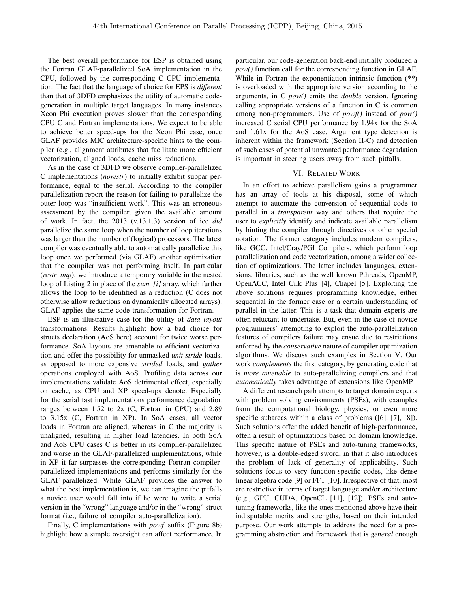The best overall performance for ESP is obtained using the Fortran GLAF-parallelized SoA implementation in the CPU, followed by the corresponding C CPU implementation. The fact that the language of choice for EPS is *different* than that of 3DFD emphasizes the utility of automatic codegeneration in multiple target languages. In many instances Xeon Phi execution proves slower than the corresponding CPU C and Fortran implementations. We expect to be able to achieve better speed-ups for the Xeon Phi case, once GLAF provides MIC architecture-specific hints to the compiler (e.g., alignment attributes that facilitate more efficient vectorization, aligned loads, cache miss reduction).

As in the case of 3DFD we observe compiler-parallelized C implementations (*norestr*) to initially exhibit subpar performance, equal to the serial. According to the compiler parallelization report the reason for failing to parallelize the outer loop was "insufficient work". This was an erroneous assessment by the compiler, given the available amount of work. In fact, the 2013 (v.13.1.3) version of icc *did* parallelize the same loop when the number of loop iterations was larger than the number of (logical) processors. The latest compiler was eventually able to automatically parallelize this loop once we performed (via GLAF) another optimization that the compiler was not performing itself. In particular (*restr tmp*), we introduce a temporary variable in the nested loop of Listing 2 in place of the *sum [i]* array, which further allows the loop to be identified as a reduction (C does not otherwise allow reductions on dynamically allocated arrays). GLAF applies the same code transformation for Fortran.

ESP is an illustrative case for the utility of *data layout* transformations. Results highlight how a bad choice for structs declaration (AoS here) account for twice worse performance. SoA layouts are amenable to efficient vectorization and offer the possibility for unmasked *unit stride* loads, as opposed to more expensive *strided* loads, and *gather* operations employed with AoS. Profiling data across our implementations validate AoS detrimental effect, especially on cache, as CPU and XP speed-ups denote. Especially for the serial fast implementations performance degradation ranges between 1.52 to 2x (C, Fortran in CPU) and 2.89 to 3.15x (C, Fortran in XP). In SoA cases, all vector loads in Fortran are aligned, whereas in C the majority is unaligned, resulting in higher load latencies. In both SoA and AoS CPU cases C is better in its compiler-parallelized and worse in the GLAF-parallelized implementations, while in XP it far surpasses the corresponding Fortran compilerparallelized implementations and performs similarly for the GLAF-parallelized. While GLAF provides the answer to what the best implementation is, we can imagine the pitfalls a novice user would fall into if he were to write a serial version in the "wrong" language and/or in the "wrong" struct format (i.e., failure of compiler auto-parallelization).

Finally, C implementations with *powf* suffix (Figure 8b) highlight how a simple oversight can affect performance. In particular, our code-generation back-end initially produced a *pow()* function call for the corresponding function in GLAF. While in Fortran the exponentiation intrinsic function (*\*\**) is overloaded with the appropriate version according to the arguments, in C *pow()* emits the *double* version. Ignoring calling appropriate versions of a function in C is common among non-programmers. Use of *powf()* instead of *pow()* increased C serial CPU performance by 1.94x for the SoA and 1.61x for the AoS case. Argument type detection is inherent within the framework (Section II-C) and detection of such cases of potential unwanted performance degradation is important in steering users away from such pitfalls.

#### VI. RELATED WORK

In an effort to achieve parallelism gains a programmer has an array of tools at his disposal, some of which attempt to automate the conversion of sequential code to parallel in a *transparent* way and others that require the user to *explicitly* identify and indicate available parallelism by hinting the compiler through directives or other special notation. The former category includes modern compilers, like GCC, Intel/Cray/PGI Compilers, which perform loop parallelization and code vectorization, among a wider collection of optimizations. The latter includes languages, extensions, libraries, such as the well known Pthreads, OpenMP, OpenACC, Intel Cilk Plus [4], Chapel [5]. Exploiting the above solutions requires programming knowledge, either sequential in the former case or a certain understanding of parallel in the latter. This is a task that domain experts are often reluctant to undertake. But, even in the case of novice programmers' attempting to exploit the auto-parallelization features of compilers failure may ensue due to restrictions enforced by the *conservative* nature of compiler optimization algorithms. We discuss such examples in Section V. Our work *complements* the first category, by generating code that is *more amenable* to auto-parallelizing compilers and that *automatically* takes advantage of extensions like OpenMP.

A different research path attempts to target domain experts with problem solving environments (PSEs), with examples from the computational biology, physics, or even more specific subareas within a class of problems ([6], [7], [8]). Such solutions offer the added benefit of high-performance, often a result of optimizations based on domain knowledge. This specific nature of PSEs and auto-tuning frameworks, however, is a double-edged sword, in that it also introduces the problem of lack of generality of applicability. Such solutions focus to very function-specific codes, like dense linear algebra code [9] or FFT [10]. Irrespective of that, most are restrictive in terms of target language and/or architecture (e.g., GPU, CUDA, OpenCL [11], [12]). PSEs and autotuning frameworks, like the ones mentioned above have their indisputable merits and strengths, based on their intended purpose. Our work attempts to address the need for a programming abstraction and framework that is *general* enough